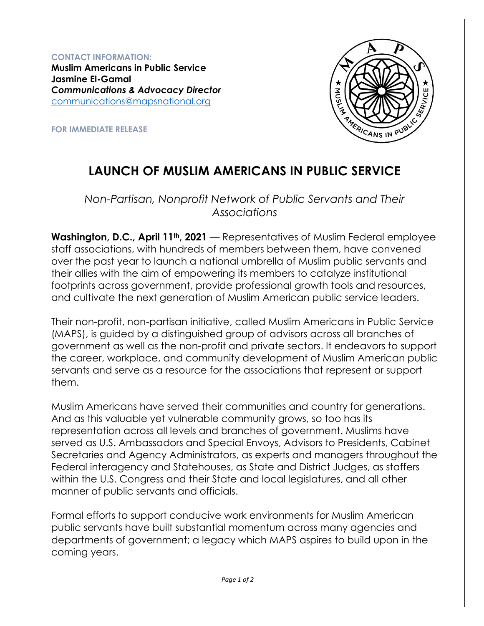**CONTACT INFORMATION: Muslim Americans in Public Service Jasmine El-Gamal** *Communications & Advocacy Director* [communications@mapsnational.org](mailto:communications@mapsnational.org)



**FOR IMMEDIATE RELEASE**

## **LAUNCH OF MUSLIM AMERICANS IN PUBLIC SERVICE**

*Non-Partisan, Nonprofit Network of Public Servants and Their Associations* 

**Washington, D.C., April 11th, 2021** — Representatives of Muslim Federal employee staff associations, with hundreds of members between them, have convened over the past year to launch a national umbrella of Muslim public servants and their allies with the aim of empowering its members to catalyze institutional footprints across government, provide professional growth tools and resources, and cultivate the next generation of Muslim American public service leaders.

Their non-profit, non-partisan initiative, called Muslim Americans in Public Service (MAPS), is guided by a distinguished group of advisors across all branches of government as well as the non-profit and private sectors. It endeavors to support the career, workplace, and community development of Muslim American public servants and serve as a resource for the associations that represent or support them.

Muslim Americans have served their communities and country for generations. And as this valuable yet vulnerable community grows, so too has its representation across all levels and branches of government. Muslims have served as U.S. Ambassadors and Special Envoys, Advisors to Presidents, Cabinet Secretaries and Agency Administrators, as experts and managers throughout the Federal interagency and Statehouses, as State and District Judges, as staffers within the U.S. Congress and their State and local legislatures, and all other manner of public servants and officials.

Formal efforts to support conducive work environments for Muslim American public servants have built substantial momentum across many agencies and departments of government; a legacy which MAPS aspires to build upon in the coming years.